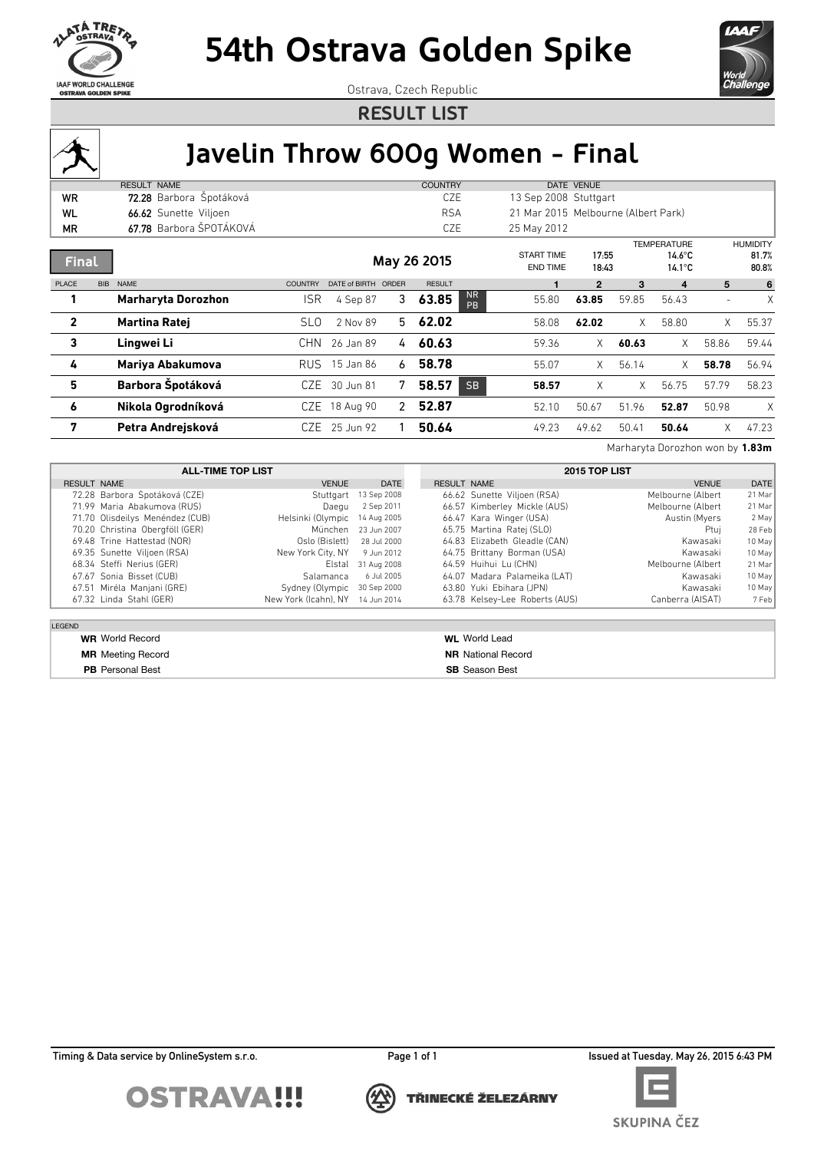



Ostrava, Czech Republic

**RESULT LIST**



## **Javelin Throw 600g Women - Final**

|              |            | <b>RESULT NAME</b>        |                 |                     |    | <b>COUNTRY</b> |                        |                                      | DATE VENUE     |       |                                                            |                          |                                   |
|--------------|------------|---------------------------|-----------------|---------------------|----|----------------|------------------------|--------------------------------------|----------------|-------|------------------------------------------------------------|--------------------------|-----------------------------------|
| <b>WR</b>    |            | 72.28 Barbora Špotáková   |                 |                     |    | CZE            |                        | 13 Sep 2008 Stuttgart                |                |       |                                                            |                          |                                   |
| WL           |            | 66.62 Sunette Viljoen     |                 |                     |    | <b>RSA</b>     |                        | 21 Mar 2015 Melbourne (Albert Park)  |                |       |                                                            |                          |                                   |
| ΜR           |            | 67.78 Barbora ŠPOTÁKOVÁ   |                 |                     |    | CZE            |                        | 25 May 2012                          |                |       |                                                            |                          |                                   |
| <b>Final</b> |            |                           |                 |                     |    | May 26 2015    |                        | <b>START TIME</b><br><b>END TIME</b> | 17:55<br>18:43 |       | <b>TEMPERATURE</b><br>$14.6^{\circ}$ C<br>$14.1^{\circ}$ C |                          | <b>HUMIDITY</b><br>81.7%<br>80.8% |
| PLACE        | <b>BIB</b> | <b>NAME</b>               | <b>COUNTRY</b>  | DATE of BIRTH ORDER |    | <b>RESULT</b>  |                        |                                      | $\overline{2}$ | 3     | 4                                                          | 5                        | 6                                 |
|              |            | <b>Marharyta Dorozhon</b> | <b>ISR</b>      | 4 Sep 87            | 3  | 63.85          | <b>NR</b><br><b>PR</b> | 55.80                                | 63.85          | 59.85 | 56.43                                                      | $\overline{\phantom{a}}$ | X                                 |
| $\mathbf{2}$ |            | <b>Martina Ratej</b>      | SL <sub>0</sub> | 2 Nov 89            | 5. | 62.02          |                        | 58.08                                | 62.02          | X.    | 58.80                                                      | X                        | 55.37                             |
| 3            |            | Lingwei Li                | CHN.            | 26 Jan 89           | 4  | 60.63          |                        | 59.36                                | $\times$       | 60.63 | X                                                          | 58.86                    | 59.44                             |
| 4            |            | Mariya Abakumova          | RUS             | 15 Jan 86           | 6  | 58.78          |                        | 55.07                                | $\times$       | 56.14 | X                                                          | 58.78                    | 56.94                             |
| 5            |            | Barbora Špotáková         | CZE             | 30 Jun 81           | 7  | 58.57          | <b>SB</b>              | 58.57                                | X              | X.    | 56.75                                                      | 57.79                    | 58.23                             |
| 6            |            | Nikola Ogrodníková        |                 | CZE 18 Aug 90       | 2  | 52.87          |                        | 52.10                                | 50.67          | 51.96 | 52.87                                                      | 50.98                    | X                                 |
| 7            |            | Petra Andrejsková         | CZE.            | 25 Jun 92           |    | 50.64          |                        | 49.23                                | 49.62          | 50.41 | 50.64                                                      | X                        | 47.23                             |

Marharyta Dorozhon won by **1.83m**

|               | <b>ALL-TIME TOP LIST</b>        |                                  |                     |                    | 2015 TOP LIST                  |                   |          |  |  |  |
|---------------|---------------------------------|----------------------------------|---------------------|--------------------|--------------------------------|-------------------|----------|--|--|--|
| RESULT NAME   |                                 | <b>VENUE</b>                     | <b>DATE</b>         | <b>RESULT NAME</b> |                                | <b>VENUE</b>      | DATE     |  |  |  |
|               | 72.28 Barbora Špotáková (CZE)   | Stuttgart                        | 13 Sep 2008         |                    | 66.62 Sunette Viljoen (RSA)    | Melbourne (Albert | $21$ Mar |  |  |  |
|               | 71.99 Maria Abakumova (RUS)     | Daegu                            | 2 Sep 2011          |                    | 66.57 Kimberley Mickle (AUS)   | Melbourne (Albert | $21$ Mar |  |  |  |
|               | 71.70 Olisdeilys Menéndez (CUB) | Helsinki (Olympic 14 Aug 2005    |                     |                    | 66.47 Kara Winger (USA)        | Austin (Myers     | 2 May    |  |  |  |
|               | 70.20 Christina Obergföll (GER) |                                  | München 23 Jun 2007 |                    | 65.75 Martina Ratej (SLO)      | Ptuj              | 28 Feb   |  |  |  |
|               | 69.48 Trine Hattestad (NOR)     | Oslo (Bislett) 28 Jul 2000       |                     |                    | 64.83 Elizabeth Gleadle (CAN)  | Kawasaki          | $10$ May |  |  |  |
|               | 69.35 Sunette Viljoen (RSA)     | New York City, NY                | 9 Jun 2012          |                    | 64.75 Brittany Borman (USA)    | Kawasaki          | $10$ May |  |  |  |
|               | 68.34 Steffi Nerius (GER)       |                                  | Elstal 31 Aug 2008  |                    | 64.59 Huihui Lu (CHN)          | Melbourne (Albert | 21 Mar   |  |  |  |
|               | 67.67 Sonia Bisset (CUB)        | Salamanca                        | 6 Jul 2005          |                    | 64.07 Madara Palameika (LAT)   | Kawasaki          | $10$ May |  |  |  |
|               | 67.51 Miréla Manjani (GRE)      | Sydney (Olympic 30 Sep 2000      |                     |                    | 63.80 Yuki Ebihara (JPN)       | Kawasaki          | $10$ May |  |  |  |
|               | 67.32 Linda Stahl (GER)         | New York (Icahn), NY 14 Jun 2014 |                     |                    | 63.78 Kelsey-Lee Roberts (AUS) | Canberra (AISAT)  | 7 Feb    |  |  |  |
|               |                                 |                                  |                     |                    |                                |                   |          |  |  |  |
| <b>LEGEND</b> |                                 |                                  |                     |                    |                                |                   |          |  |  |  |
|               | <b>WR</b> World Record          |                                  |                     |                    | <b>WL</b> World Lead           |                   |          |  |  |  |

**PB** Personal Best **SB** Season Best

**MR** Meeting Record **NR** National Record

Timing & Data service by OnlineSystem s.r.o. **Page 1 of 1** Page 1 of 1 Issued at Tuesday, May 26, 2015 6:43 PM



TŘINECKÉ ŽELEZÁRNY



SKUPINA ČEZ